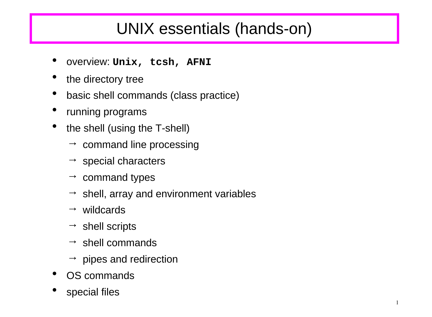# UNIX essentials (hands-on)

- overview: **Unix, tcsh, AFNI**
- the directory tree
- basic shell commands (class practice)
- running programs
- the shell (using the T-shell)
	- $\rightarrow$  command line processing
	- $\rightarrow$  special characters
	- $\rightarrow$  command types
	- $\rightarrow$  shell, array and environment variables
	- $\rightarrow$  wildcards
	- $\rightarrow$  shell scripts
	- $\rightarrow$  shell commands
	- $\rightarrow$  pipes and redirection
- OS commands
- special files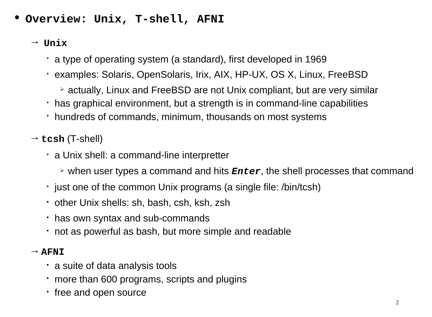- **Overview: Unix, T-shell, AFNI**
	- → **Unix**
		- a type of operating system (a standard), first developed in 1969
		- examples: Solaris, OpenSolaris, Irix, AIX, HP-UX, OS X, Linux, FreeBSD
			- actually, Linux and FreeBSD are not Unix compliant, but are very similar
		- has graphical environment, but a strength is in command-line capabilities
		- hundreds of commands, minimum, thousands on most systems
	- → **tcsh** (T-shell)
		- a Unix shell: a command-line interpretter
			- when user types a command and hits *Enter*, the shell processes that command
		- just one of the common Unix programs (a single file: /bin/tcsh)
		- other Unix shells: sh, bash, csh, ksh, zsh
		- has own syntax and sub-commands
		- not as powerful as bash, but more simple and readable

### $\rightarrow$  **AFNI**

- a suite of data analysis tools
- more than 600 programs, scripts and plugins
- free and open source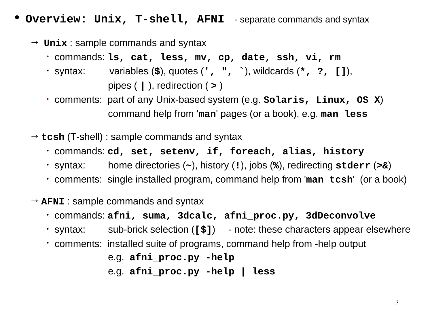- **Overview: Unix, T-shell, AFNI** separate commands and syntax
	- $\rightarrow$  **Unix** : sample commands and syntax
		- commands: **ls, cat, less, mv, cp, date, ssh, vi, rm**
		- syntax: variables (**\$**), quotes (**', ", `**), wildcards (**\*, ?, []**), pipes ( **|** ), redirection ( **>** )
		- comments: part of any Unix-based system (e.g. **Solaris, Linux, OS X**) command help from '**man**' pages (or a book), e.g. **man less**
	- → **tcsh** (T-shell) : sample commands and syntax
		- commands: **cd, set, setenv, if, foreach, alias, history**
		- syntax: home directories (**~**), history (**!**), jobs (**%**), redirecting **stderr** (**>&**)
		- comments: single installed program, command help from '**man tcsh**' (or a book)
	- $\rightarrow$  **AFNI** : sample commands and syntax
		- commands: **afni, suma, 3dcalc, afni\_proc.py, 3dDeconvolve**
		- syntax: sub-brick selection (**[\$]**) note: these characters appear elsewhere
		- comments: installed suite of programs, command help from -help output

 e.g. **afni\_proc.py -help** e.g. **afni\_proc.py -help | less**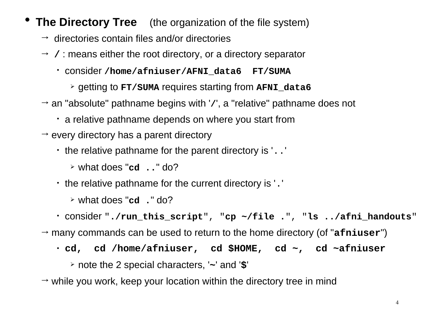- **The Directory Tree** (the organization of the file system)
	- $\rightarrow$  directories contain files and/or directories
	- → **/** : means either the root directory, or a directory separator
		- consider **/home/afniuser/AFNI\_data6 FT/SUMA**
			- getting to **FT/SUMA** requires starting from **AFNI\_data6**
	- → an "absolute" pathname begins with '**/**', a "relative" pathname does not
		- a relative pathname depends on where you start from
	- $\rightarrow$  every directory has a parent directory
		- the relative pathname for the parent directory is '..'
			- what does "**cd ..**" do?
		- the relative pathname for the current directory is '.'
			- what does "**cd .**" do?
		- consider "**./run\_this\_script**", "**cp ~/file .**", "**ls ../afni\_handouts**"
	- → many commands can be used to return to the home directory (of "**afniuser**")
		- **cd, cd /home/afniuser, cd \$HOME, cd ~, cd ~afniuser**
			- note the 2 special characters, '**~**' and '**\$**'
	- $\rightarrow$  while you work, keep your location within the directory tree in mind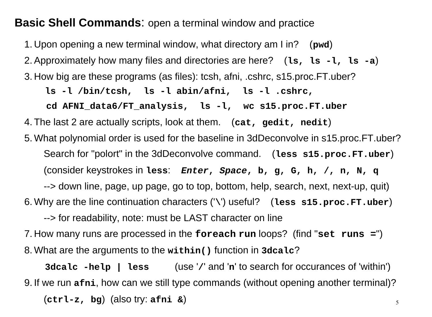### **Basic Shell Commands**: open a terminal window and practice

1. Upon opening a new terminal window, what directory am I in? (**pwd**) 2.Approximately how many files and directories are here? (**ls, ls -l, ls -a**) 3. How big are these programs (as files): tcsh, afni, .cshrc, s15.proc.FT.uber? **ls -l /bin/tcsh, ls -l abin/afni, ls -l .cshrc, cd AFNI\_data6/FT\_analysis, ls -l, wc s15.proc.FT.uber** 4. The last 2 are actually scripts, look at them. (**cat, gedit, nedit**) 5. What polynomial order is used for the baseline in 3dDeconvolve in s15.proc.FT.uber? Search for "polort" in the 3dDeconvolve command. (**less s15.proc.FT.uber**) (consider keystrokes in **less**: *Enter***,** *Space***, b, g, G, h, /, n, N, q** --> down line, page, up page, go to top, bottom, help, search, next, next-up, quit) 6. Why are the line continuation characters ('**\**') useful? (**less s15.proc.FT.uber**) --> for readability, note: must be LAST character on line

7. How many runs are processed in the **foreach run** loops? (find "**set runs =**") 8. What are the arguments to the **within()** function in **3dcalc**?

5 **3dcalc -help | less** (use '**/**' and '**n**' to search for occurances of 'within') 9. If we run **afni**, how can we still type commands (without opening another terminal)? (**ctrl-z, bg**) (also try: **afni &**)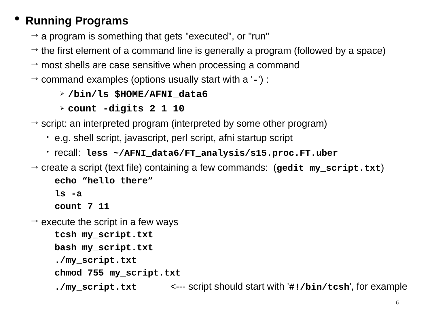## • **Running Programs**

- $\rightarrow$  a program is something that gets "executed", or "run"
- $\rightarrow$  the first element of a command line is generally a program (followed by a space)
- $\rightarrow$  most shells are case sensitive when processing a command
- → command examples (options usually start with a '**-**') :
	- **/bin/ls \$HOME/AFNI\_data6**
	- **count -digits 2 1 10**
- $\rightarrow$  script: an interpreted program (interpreted by some other program)
	- e.g. shell script, javascript, perl script, afni startup script
	- recall: **less ~/AFNI\_data6/FT\_analysis/s15.proc.FT.uber**
- → create a script (text file) containing a few commands: (**gedit my\_script.txt**) **echo "hello there"**

**ls -a**

**count 7 11**

 $\rightarrow$  execute the script in a few ways

**tcsh my\_script.txt bash my\_script.txt ./my\_script.txt**

- **chmod 755 my\_script.txt**
- **./my\_script.txt** <--- script should start with '**#!/bin/tcsh**', for example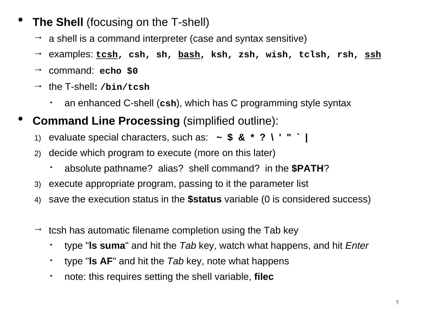- **The Shell** (focusing on the T-shell)
	- $\rightarrow$  a shell is a command interpreter (case and syntax sensitive)
	- → examples: **tcsh, csh, sh, bash, ksh, zsh, wish, tclsh, rsh, ssh**
	- → command: **echo \$0**
	- → the T-shell**: /bin/tcsh**
		- an enhanced C-shell (**csh**), which has C programming style syntax
- **Command Line Processing** (simplified outline):
	- 1) evaluate special characters, such as: **~ \$ & \* ? \ ' " ` |**
	- 2) decide which program to execute (more on this later)
		- absolute pathname? alias? shell command? in the **\$PATH**?
	- 3) execute appropriate program, passing to it the parameter list
	- 4) save the execution status in the **\$status** variable (0 is considered success)
	- $\rightarrow$  tcsh has automatic filename completion using the Tab key
		- type "**ls suma**" and hit the *Tab* key, watch what happens, and hit *Enter*
		- type "**ls AF**" and hit the *Tab* key, note what happens
		- note: this requires setting the shell variable, **filec**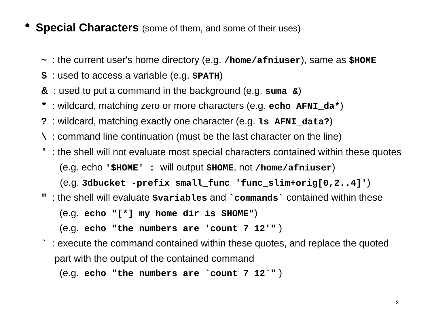- **Special Characters** (some of them, and some of their uses)
	- **~** : the current user's home directory (e.g. **/home/afniuser**), same as **\$HOME**
	- **\$** : used to access a variable (e.g. **\$PATH**)
	- **&** : used to put a command in the background (e.g. **suma &**)
	- **\*** : wildcard, matching zero or more characters (e.g. **echo AFNI\_da\***)
	- **?** : wildcard, matching exactly one character (e.g. **ls AFNI\_data?**)
	- **\** : command line continuation (must be the last character on the line)
	- **'** : the shell will not evaluate most special characters contained within these quotes (e.g. echo **'\$HOME' :** will output **\$HOME**, not **/home/afniuser**) (e.g. **3dbucket -prefix small\_func 'func\_slim+orig[0,2..4]'**)
	- **"** : the shell will evaluate **\$variables** and **`commands`** contained within these

(e.g. **echo "[\*] my home dir is \$HOME"**)

(e.g. **echo "the numbers are 'count 7 12'"** )

**`** : execute the command contained within these quotes, and replace the quoted part with the output of the contained command

(e.g. **echo "the numbers are `count 7 12`"** )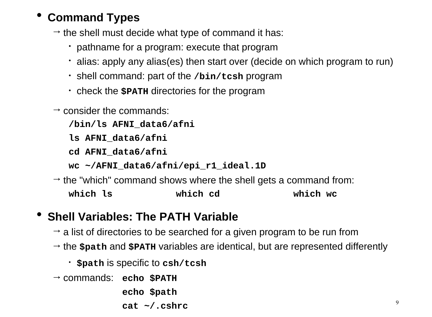## • **Command Types**

 $\rightarrow$  the shell must decide what type of command it has:

- pathname for a program: execute that program
- alias: apply any alias(es) then start over (decide on which program to run)
- shell command: part of the **/bin/tcsh** program
- check the **\$PATH** directories for the program
- $\rightarrow$  consider the commands:

**/bin/ls AFNI\_data6/afni**

**ls AFNI\_data6/afni**

**cd AFNI\_data6/afni**

**wc ~/AFNI\_data6/afni/epi\_r1\_ideal.1D**

 $\rightarrow$  the "which" command shows where the shell gets a command from: **which ls which cd which wc**

## • **Shell Variables: The PATH Variable**

- $\rightarrow$  a list of directories to be searched for a given program to be run from
- → the **\$path** and **\$PATH** variables are identical, but are represented differently
	- **\$path** is specific to **csh/tcsh**
- → commands: **echo \$PATH**

**echo \$path**

**cat ~/.cshrc**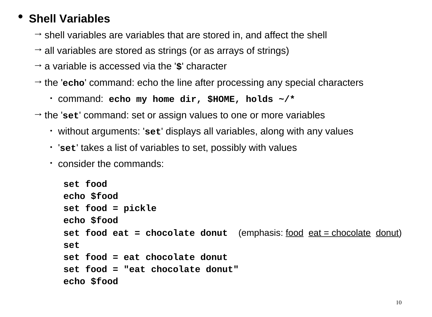## • **Shell Variables**

- $\rightarrow$  shell variables are variables that are stored in, and affect the shell
- $\rightarrow$  all variables are stored as strings (or as arrays of strings)
- → a variable is accessed via the '**\$**' character
- $\rightarrow$  the 'echo' command: echo the line after processing any special characters
	- command: **echo my home dir, \$HOME, holds ~/\***
- $\rightarrow$  the 'set' command: set or assign values to one or more variables
	- without arguments: '**set**' displays all variables, along with any values
	- '**set**' takes a list of variables to set, possibly with values
	- consider the commands:

```
set food
echo $food
set food = pickle
echo $food
set food eat = chocolate donut (emphasis: <u>food eat = chocolate</u> donut)
set
set food = eat chocolate donut
set food = "eat chocolate donut"
echo $food
```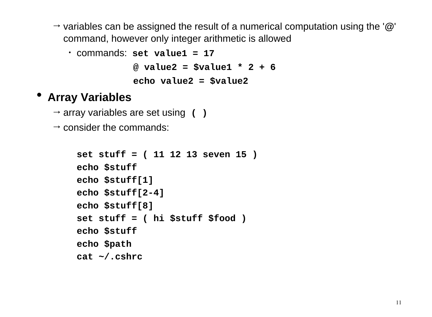→ variables can be assigned the result of a numerical computation using the '**@**' command, however only integer arithmetic is allowed

```
• commands: set value1 = 17
             @ value2 = $value1 * 2 + 6
             echo value2 = $value2
```
## • **Array Variables**

- $\rightarrow$  array variables are set using ()
- $\rightarrow$  consider the commands:

```
set stuff = ( 11 12 13 seven 15 )
echo $stuff
echo $stuff[1]
echo $stuff[2-4]
echo $stuff[8]
set stuff = ( hi $stuff $food )
echo $stuff
echo $path
cat ~/.cshrc
```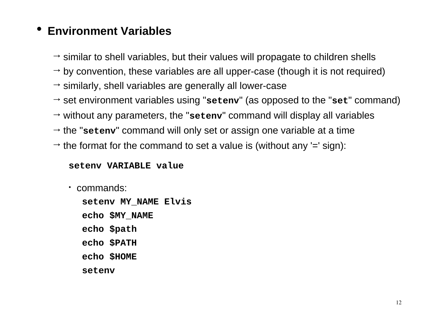## • **Environment Variables**

- $\rightarrow$  similar to shell variables, but their values will propagate to children shells
- $\rightarrow$  by convention, these variables are all upper-case (though it is not required)
- $\rightarrow$  similarly, shell variables are generally all lower-case
- → set environment variables using "**setenv**" (as opposed to the "**set**" command)
- $\rightarrow$  without any parameters, the "seteny" command will display all variables
- $\rightarrow$  the "setenv" command will only set or assign one variable at a time
- $\rightarrow$  the format for the command to set a value is (without any '=' sign):

#### **setenv VARIABLE value**

• commands:

**setenv MY\_NAME Elvis echo \$MY\_NAME echo \$path echo \$PATH echo \$HOME setenv**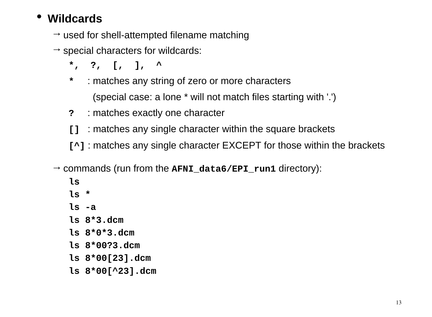## • **Wildcards**

- $\rightarrow$  used for shell-attempted filename matching
- $\rightarrow$  special characters for wildcards:
	- **\*, ?, [, ], ^**
	- **\*** : matches any string of zero or more characters

(special case: a lone \* will not match files starting with '.')

- **?** : matches exactly one character
- **[]** : matches any single character within the square brackets
- **[^]** : matches any single character EXCEPT for those within the brackets
- → commands (run from the **AFNI\_data6/EPI\_run1** directory):
	- **ls**
	- **ls \***
	- **ls -a**
	- **ls 8\*3.dcm**
	- **ls 8\*0\*3.dcm**
	- **ls 8\*00?3.dcm**
	- **ls 8\*00[23].dcm**
	- **ls 8\*00[^23].dcm**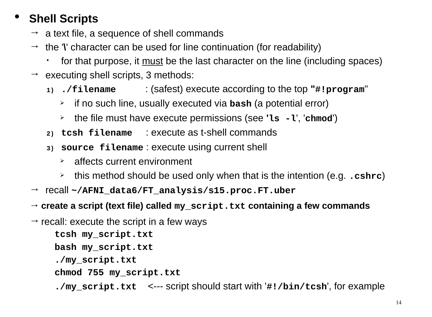## • **Shell Scripts**

- $\rightarrow$  a text file, a sequence of shell commands
- $\rightarrow$  the **''** character can be used for line continuation (for readability)
	- for that purpose, it <u>must</u> be the last character on the line (including spaces)
- $\rightarrow$  executing shell scripts, 3 methods:
	- **1) ./filename** : (safest) execute according to the top **"#!program**"
		- if no such line, usually executed via **bash** (a potential error)
		- the file must have execute permissions (see **'ls -l**', '**chmod**')
	- **2) tcsh filename** : execute as t-shell commands
	- **3) source filename** : execute using current shell
		- $\rightarrow$  affects current environment
		- this method should be used only when that is the intention (e.g. **.cshrc**)
- → recall **~/AFNI\_data6/FT\_analysis/s15.proc.FT.uber**
- → **create a script (text file) called my\_script.txt containing a few commands**
- $\rightarrow$  recall: execute the script in a few ways

**tcsh my\_script.txt bash my\_script.txt ./my\_script.txt**

**chmod 755 my\_script.txt**

**./my\_script.txt** <--- script should start with '**#!/bin/tcsh**', for example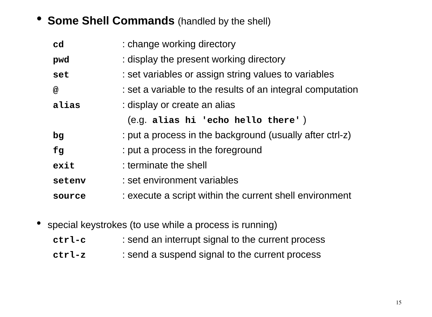### • **Some Shell Commands** (handled by the shell)

| : change working directory                                 |
|------------------------------------------------------------|
| : display the present working directory                    |
| : set variables or assign string values to variables       |
| : set a variable to the results of an integral computation |
| : display or create an alias                               |
| (e.g. alias hi 'echo hello there')                         |
| : put a process in the background (usually after ctrl-z)   |
| : put a process in the foreground                          |
| : terminate the shell                                      |
| : set environment variables                                |
| : execute a script within the current shell environment    |
|                                                            |

• special keystrokes (to use while a process is running)

- **ctrl-c** : send an interrupt signal to the current process
- **ctrl-z** : send a suspend signal to the current process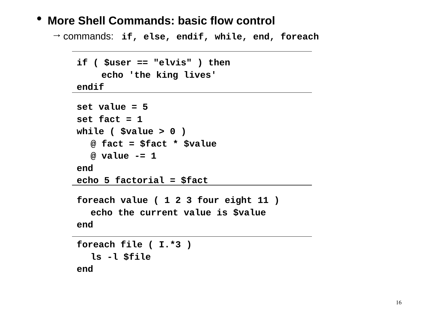### • **More Shell Commands: basic flow control**

→ commands: **if, else, endif, while, end, foreach**

```
if ( $user == "elvis" ) then
     echo 'the king lives'
endif
set value = 5
set fact = 1
while ( $value > 0 )
   @ fact = $fact * $value
   @ value -= 1
end
echo 5 factorial = $fact
foreach value ( 1 2 3 four eight 11 )
   echo the current value is $value
end
foreach file ( I.*3 )
```
 **ls -l \$file**

**end**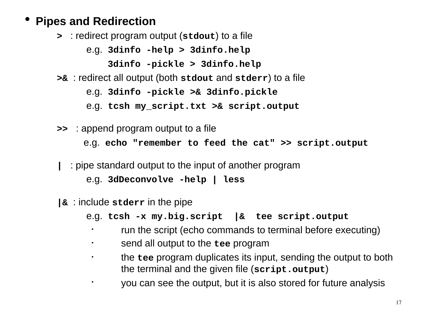## • **Pipes and Redirection**

**>** : redirect program output (**stdout**) to a file

e.g. **3dinfo -help > 3dinfo.help**

**3dinfo -pickle > 3dinfo.help**

**>&** : redirect all output (both **stdout** and **stderr**) to a file

e.g. **3dinfo -pickle >& 3dinfo.pickle**

e.g. **tcsh my\_script.txt >& script.output**

- **>>** : append program output to a file e.g. **echo "remember to feed the cat" >> script.output** 
	- **|** : pipe standard output to the input of another program

e.g. **3dDeconvolve -help | less**

- **|&** : include **stderr** in the pipe
	- e.g. **tcsh -x my.big.script |& tee script.output**
		- run the script (echo commands to terminal before executing)
		- send all output to the **tee** program
		- the **tee** program duplicates its input, sending the output to both the terminal and the given file (**script.output**)
			- you can see the output, but it is also stored for future analysis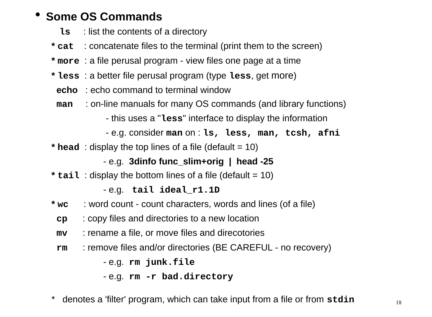### • **Some OS Commands**

- **ls** : list the contents of a directory
- **\* cat** : concatenate files to the terminal (print them to the screen)
- **\* more** : a file perusal program view files one page at a time
- **\* less** : a better file perusal program (type **less**, get more)
	- **echo** : echo command to terminal window
	- **man** : on-line manuals for many OS commands (and library functions)
		- this uses a "**less**" interface to display the information
		- e.g. consider **man** on : **ls, less, man, tcsh, afni**
- **\* head** : display the top lines of a file (default  $= 10$ )

- e.g. **3dinfo func\_slim+orig | head -25**

**\* tail** : display the bottom lines of a file (default = 10)

#### - e.g. **tail ideal\_r1.1D**

- **\* wc** : word count count characters, words and lines (of a file)
	- **cp** : copy files and directories to a new location
- **mv** : rename a file, or move files and direcotories
- **rm** : remove files and/or directories (BE CAREFUL no recovery)

- e.g. **rm junk.file**

- e.g. **rm -r bad.directory**
- \* denotes a 'filter' program, which can take input from a file or from **stdin**